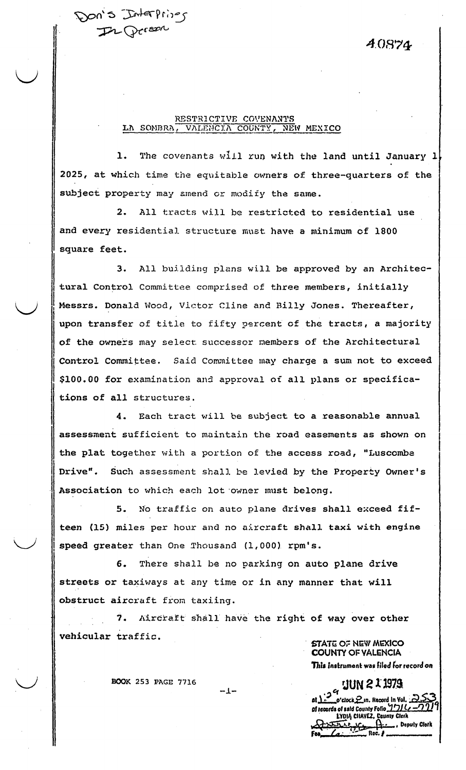Don's Interprises

## RESTRICTIVE COVENANTS LA SOMBRA, VALENCIA COUNTY, NEW MEXICO

1. The covenants will run with the land until January 1 2025, at which time the equitable owners of three-quarters of the subject property may amend or modify the same.

2. All tracts will be restricted to residential use and every residential structure must have a minimum of 1800 square feet.

3. All building plans will be approved by an Architec tural Control Committee, comprised of three members, initially Messrs. Donald Wood, Victor Cline and Billy Jones. Thereafter, upon transfer of title to fifty percent of the tracts, a majority of the owners may select successor members of the Architectural Control Committee. Said Committee may charge a sum not to exceed \$100.00 for examination and approval of all plans or specifica tions of all structures.

4. Each tract will be subject to a reasonable annual assessment sufficient to maintain the road easements as shown on the plat together with a portion of the access road, "Luscombe Drive". Such assessment shall be levied by the Property Owner's Association to which each lot owner must belong.

5. No traffic on auto plane drives shall exceed fif teen (15) miles per hour and no aircraft shall taxi with engine speed greater than One Thousand  $(1,000)$  rpm's.

6. There shall be no parking on auto plane drive streets or taxiways at any time or in any manner that will obstruct aircraft from taxiing.

7. Aircraft shall have the right of way over other vehicular traffic.

STATE O? NEV/MEXICO COUNTY OP VALENCIA This instrument was filed for record on

 $_{\circ}$  JUN 2 1 1979

of records of said County Folio 7714 -771 LYDIA CHAVEZ, County Clerk

 $\overline{\mathsf{Rec}}$  ,  $\overline{\mathsf{f}}$  ,

.. Deputy Clerk

at  $\sum_{\text{of clock}}^{C}$  in. Record in Vol.

BOOK 253 PAGE 7716

-1-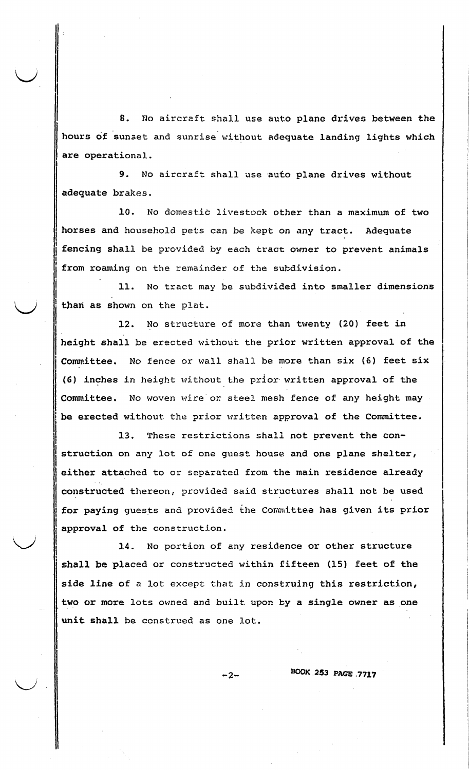8. No aircraft shall use auto plane drives between the hours of sunset and sunrise without adequate landing lights which are operational.

9. No aircraft shall use auto plane drives without adequate brakes.

10. No domestic livestock other than a maximum of two horses and household pets can be kept on any tract. Adequate fencing shall be provided by each tract owner to prevent animals from roaming on the remainder of the subdivision.

11. No tract may be subdivided into smaller dimensions than as shown on the plat.

12. No structure of more than twenty (20) feet in height shall be erected without the prior written approval of the Committee. No fence or wall shall be more than six (6) feet six (6) inches in height without the prior written approval of the Committee. No woven wire or steel mesh fence of any height may be erected without the prior written approval of the Committee.

13. These restrictions shall not prevent the con struction on any lot of one guest house and one plane shelter, either attached to or separated from the main residence already constructed thereon, provided said structures shall not be used for paying guests and provided the Committee has given its prior approval of the construction.

14. No portion of any residence or other structure shall be placed or constructed within fifteen (15) feet of the side line of a lot except that in construing this restriction, two or more lots owned and built upon by a single owner as one unit shall be construed as one lot.

-2- BOOK 253 PAGE .7717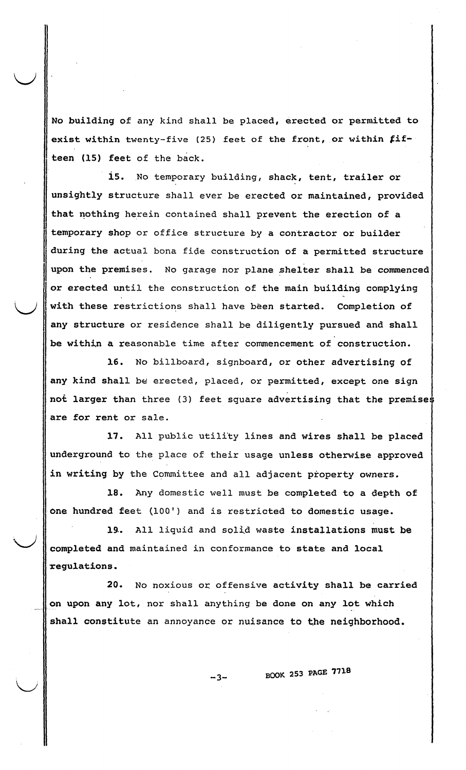No building of any kind shall be placed, erected or permitted to exist within twenty-five (25) feet of the front, or within fifteen (15) feet of the back.

is. No temporary building, shack, tent, trailer or unsightly structure shall ever be erected or maintained, provided that nothing herein contained shall prevent the erection of a temporary shop or office structure by a contractor or builder during the actual bona fide construction of a permitted structure upon the premises. No garage nor plane shelter shall be commenced or erected until the construction of the main building complying with these restrictions shall have been started. Completion of any structure or residence shall be diligently pursued and shall be within a reasonable time after commencement of construction.

16. No billboard, signboard, or other advertising of any kind shall be erected, placed, or permitted, except one sign not larger than three (3) feet square advertising that the premises are for rent or sale.

17. All public utility lines and wires shall be placed underground to the place of their usage unless otherwise approved in writing by the Committee and all adjacent property owners.

18. Any domestic well must be completed to a depth of One hundred feet (100') and is restricted to domestic usage.

19. All liquid and solid waste installations must be completed and maintained in conformance to state and local regulations.

20. No noxious or offensive activity shall be carried on upon any lot, nor shall anything be done on any lot which shall constitute an annoyance or nuisance to the neighborhood.

 $-3$ - BOOK 253 PAGE 7718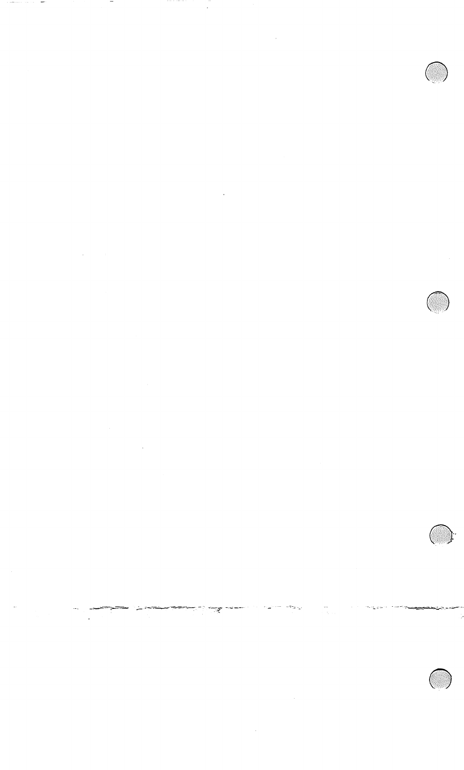## $\label{eq:2.1} \frac{1}{\sqrt{2}}\left(\frac{1}{\sqrt{2}}\right)^{2} \left(\frac{1}{\sqrt{2}}\right)^{2} \left(\frac{1}{\sqrt{2}}\right)^{2} \left(\frac{1}{\sqrt{2}}\right)^{2} \left(\frac{1}{\sqrt{2}}\right)^{2} \left(\frac{1}{\sqrt{2}}\right)^{2} \left(\frac{1}{\sqrt{2}}\right)^{2} \left(\frac{1}{\sqrt{2}}\right)^{2} \left(\frac{1}{\sqrt{2}}\right)^{2} \left(\frac{1}{\sqrt{2}}\right)^{2} \left(\frac{1}{\sqrt{2}}\right)^{2} \left(\$

and the second second second second second second second second second second second second second second second second second second second second second second second second second second second second second second seco

andro de la compo

 $\sim$ 

 $\mathcal{L}^{\text{max}}_{\text{max}}$ 

 $\label{eq:2.1} \frac{1}{\sqrt{2\pi}}\int_{0}^{\infty}\frac{1}{\sqrt{2\pi}}\left(\frac{1}{\sqrt{2\pi}}\right)^{2\pi} \frac{1}{\sqrt{2\pi}}\int_{0}^{\infty}\frac{1}{\sqrt{2\pi}}\frac{1}{\sqrt{2\pi}}\int_{0}^{\infty}\frac{1}{\sqrt{2\pi}}\frac{1}{\sqrt{2\pi}}\frac{1}{\sqrt{2\pi}}\frac{1}{\sqrt{2\pi}}\frac{1}{\sqrt{2\pi}}\frac{1}{\sqrt{2\pi}}\frac{1}{\sqrt{2\pi}}\frac{1}{\sqrt{2\pi}}\frac{1}{\$ 

 $\label{eq:2.1} \frac{1}{\sqrt{2}}\int_{\mathbb{R}^3}\frac{1}{\sqrt{2}}\left(\frac{1}{\sqrt{2}}\right)^2\frac{1}{\sqrt{2}}\left(\frac{1}{\sqrt{2}}\right)^2\frac{1}{\sqrt{2}}\left(\frac{1}{\sqrt{2}}\right)^2.$ 

المناطق كماس

 $\label{eq:2} \frac{1}{\sqrt{2}}\left(\frac{1}{\sqrt{2}}\right)^{2} \left(\frac{1}{\sqrt{2}}\right)^{2}$ 

 $\ddot{=}$ 

 $\ddot{\phantom{0}}$ 

 $\mathcal{L}(\mathcal{L})$  .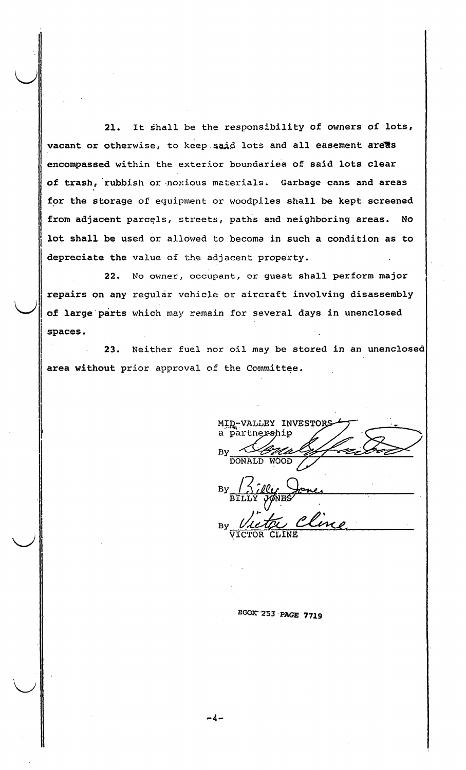21. It shall be the responsibility of owners of lots, vacant or otherwise, to keep said lots and all easement areas encompassed within the exterior boundaries of said lots clear of trash, rubbish or noxious materials. Garbage cans and areas for the storage of equipment or woodpiles shall be kept screened from adjacent parcels, streets, paths and neighboring areas. No lot shall be used or allowed to become in such a condition as to depreciate the value of the adjacent property.

22. No owner, occupant, or guest shall perform major repairs on any regular vehicle or aircraft involving disassembly of large parts which may remain for several days in unenclosed spaces.

23. Neither fuel nor oil may be stored in an unenclosed area without prior approval of the Committee.

MIR-VALLEY INVESTOR a partnership By DONALD WOOD  $By$ BILLY *JONE* **By** VICTOR CLINE

BOOK 253 PAGE 7719